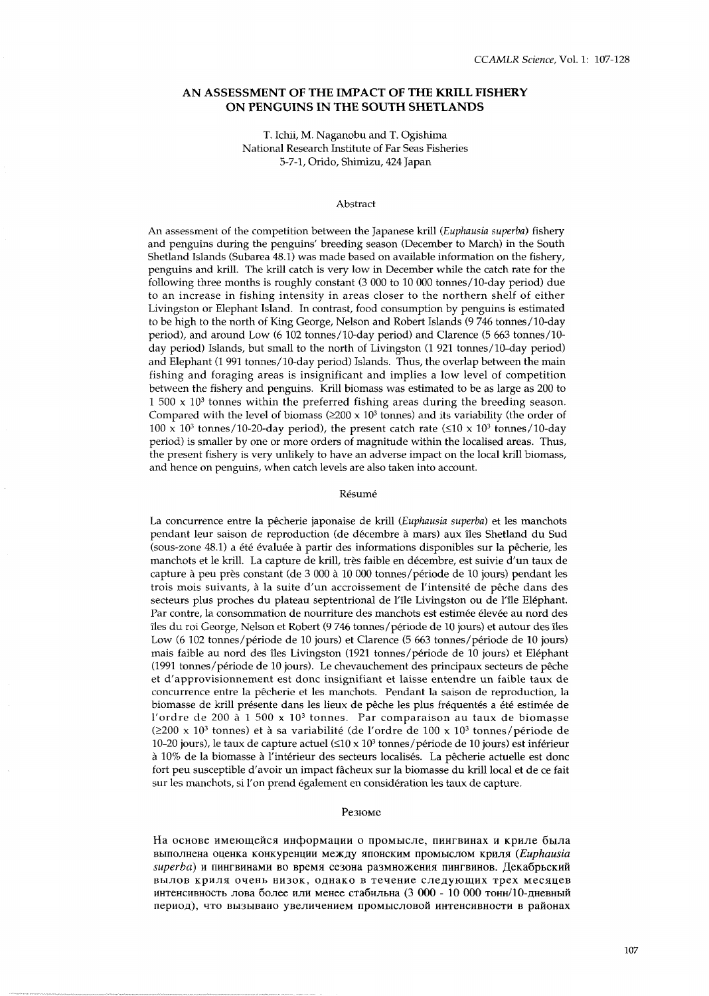### **AN ASSESSMENT OF THE IMPACT OF THE KRILL FISHERY ON PENGUINS IN THE SOUTH SHETLANDS**

### T. Ichii, M. Naganobu and T. Ogishima National Research Institute of Far Seas Fisheries 5-7-1, Orido, Shimizu, 424 Japan

#### Abstract

An assessment of the competition between the Japanese krill (Euphausia superba) fishery and penguins during the penguins' breeding season (December to March) in the South Shetland Islands (Subarea 48.1) was made based on available information on the fishery, penguins and krill. The krill catch is very low in December while the catch rate for the following three months is roughly constant  $(3\,000\,$  to  $10\,000\,$  tonnes/10-day period) due to an increase in fishing intensity in areas closer to the northern shelf of either Livingston or Elephant Island. In contrast, food consumption by penguins is estimated to be high to the north of King George, Nelson and Robert Islands (9 746 tonnes/lO-day period), and around Low (6 102 tonnes/10-day period) and Clarence (5 663 tonnes/10day period) Islands, but small to the north of Livingston (1 921 tonnes/10-day period) and Elephant (1 991 tonnes/lO-day period) Islands. Thus, the overlap between the main fishing and foraging areas is insignificant and implies a low level of competition between the fishery and penguins. Krill biomass was estimated to be as large as 200 to  $1\,500 \times 10^3$  tonnes within the preferred fishing areas during the breeding season. Compared with the level of biomass  $(\geq 200 \times 10^3$  tonnes) and its variability (the order of  $100 \times 10^{3}$  tonnes/10-20-day period), the present catch rate ( $\leq 10 \times 10^{3}$  tonnes/10-day period) is smaller by one or more orders of magnitude within the localised areas. Thus, the present fishery is very unlikely to have an adverse impact on the local krill biomass, and hence on penguins, when catch levels are also taken into account.

#### Résumé

La concurrence entre la pecherie japonaise de krill (Euphausia superba) et les manchots pendant leur saison de reproduction (de decembre a mars) aux iles Shetland du Sud (sous-zone 48.1) a été évaluée à partir des informations disponibles sur la pêcherie, les manchots et le krill. La capture de krill, tres faible en decembre, est suivie d'un taux de capture à peu près constant (de 3 000 à 10 000 tonnes/période de 10 jours) pendant les trois mois suivants, à la suite d'un accroissement de l'intensité de pêche dans des secteurs plus proches du plateau septentrional de l'ile Livingston ou de l'ile Elephant. Par contre, la consommation de nourriture des manchots est estimée élevée au nord des îles du roi George, Nelson et Robert (9 746 tonnes/période de 10 jours) et autour des îles Low (6 102 tonnes/période de 10 jours) et Clarence (5 663 tonnes/période de 10 jours) mais faible au nord des iles Livingston (1921 tonnes/periode de 10 jours) et Elephant (1991 tonnes/période de 10 jours). Le chevauchement des principaux secteurs de pêche et d'approvisionnement est donc insignifiant et laisse entendre un faible taux de concurrence entre la pêcherie et les manchots. Pendant la saison de reproduction, la biomasse de krill présente dans les lieux de pêche les plus fréquentés a été estimée de l'ordre de 200 à 1 500 x 10<sup>3</sup> tonnes. Par comparaison au taux de biomasse (2200 X 103 tonnes) et a sa variabilite (de l'ordre de 100 **X** 103 tonnes/periode de 10-20 jours), le taux de capture actuel  $(\leq 10 \times 10^3$  tonnes/période de 10 jours) est inférieur à 10% de la biomasse à l'intérieur des secteurs localisés. La pêcherie actuelle est donc fort peu susceptible d'avoir un impact fgcheux sur la biomasse du krill local et de ce fait sur les manchots, si l'on prend également en considération les taux de capture.

#### Резюме

На основе имеющейся информации о промысле, пингвинах и криле была BbIIlonHeHa OQeHKa KoHKYpeHqllH MeKfly XIIOHCKMM IIpOMbICJIOM KpMnR *(Euphausia*   $superba)$  и пингвинами во время сезона размножения пингвинов. Декабрьский вылов криля очень низок, однако в течение следующих трех месяцев интенсивность лова более или менее стабильна (3 000 - 10 000 тонн/10-дневный период), что вызывано увеличением промысловой интенсивности в районах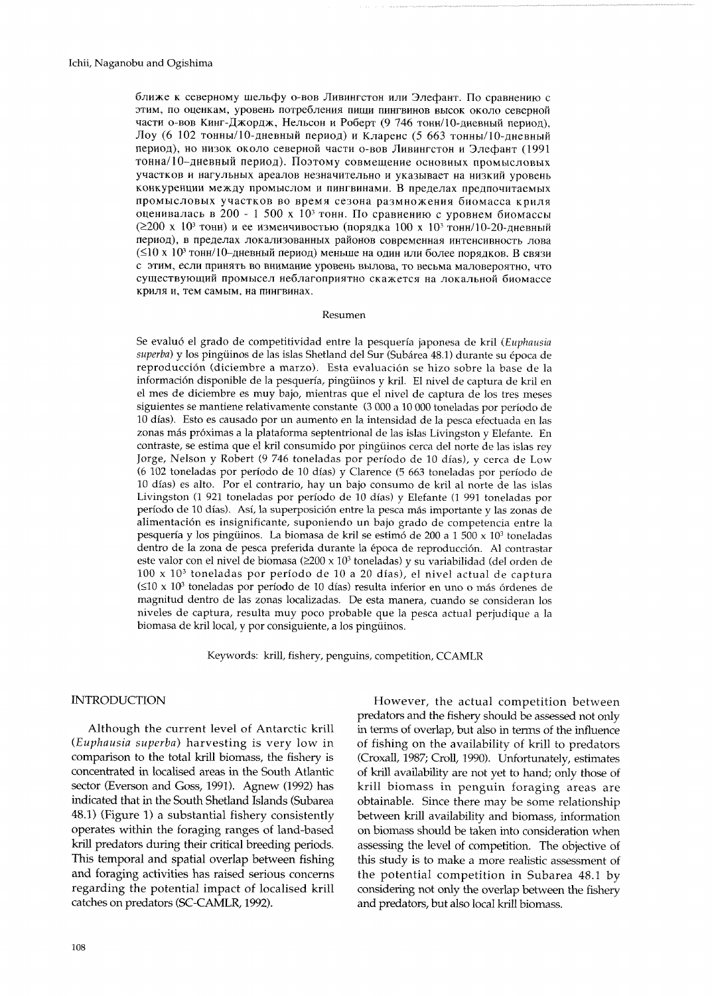ближе к северному шельфу о-вов Ливингстон или Элефант. По сравнению с этим, по оценкам, уровень потребления пищи пингвинов высок около северной части о-вов Кинг-Джордж, Нельсон и Роберт (9 746 тонн/10-дневный период), Лоу (6 102 тонны/10-дневный период) и Кларенс (5 663 тонны/10-дневный период), но низок около северной части о-вов Ливингстон и Элефант (1991 тонна/10-дневный период). Поэтому совмещение основных промысловых участков и нагульных ареалов незначительно и указывает на низкий уровень конкуренции между промыслом и пингвинами. В пределах предпочитаемых промысловых участков во время сезона размножения биомасса криля оценивалась в 200 - 1 500 х 10<sup>3</sup> тонн. По сравнению с уровнем биомассы  $(2200 \times 10^3 \text{ to } 4)$  и ее изменчивостью (порядка 100 х 10<sup>3</sup> тонн/10-20-дневный период), в пределах локализованных районов современная интенсивность лова (≤10 х 10<sup>3</sup> тонн/10-дневный период) меньше на один или более порядков. В связи с этим, если принять во внимание уровень вылова, то весьма маловероятно, что существующий промысел неблагоприятно скажется на локальной биомассе криля и, тем самым, на пингвинах.

#### Resumen

Se evaluó el grado de competitividad entre la pesquería japonesa de kril (Euphausia superba) y los pingüinos de las islas Shetland del Sur (Subárea 48.1) durante su época de reproducción (diciembre a marzo). Esta evaluación se hizo sobre la base de la información disponible de la pesquería, pingüinos y kril. El nivel de captura de kril en el mes de diciembre es muy bajo, mientras que el nivel de captura de los tres meses siguientes se mantiene relativamente constante (3 000 a 10 000 toneladas por período de 10 días). Esto es causado por un aumento en la intensidad de la pesca efectuada en las zonas más próximas a la plataforma septentrional de las islas Livingston y Elefante. En contraste, se estima que el kril consumido por pingüinos cerca del norte de las islas rey Jorge, Nelson y Robert (9 746 toneladas por período de 10 días), y cerca de Low (6 102 toneladas por período de 10 días) y Clarence (5 663 toneladas por período de 10 días) es alto. Por el contrario, hay un bajo consumo de kril al norte de las islas Livingston (1 921 toneladas por período de 10 días) y Elefante (1 991 toneladas por período de 10 días). Así, la superposición entre la pesca más importante y las zonas de alimentación es insignificante, suponiendo un bajo grado de competencia entre la pesquería y los pingüinos. La biomasa de kril se estimó de 200 a 1 500 x 10<sup>3</sup> toneladas dentro de la zona de pesca preferida durante la época de reproducción. Al contrastar este valor con el nivel de biomasa ( $\geq 200 \times 10^3$  toneladas) y su variabilidad (del orden de 100 x 10<sup>3</sup> toneladas por período de 10 a 20 días), el nivel actual de captura  $(\leq 10 \times 10^3)$  toneladas por período de 10 días) resulta inferior en uno o más órdenes de magnitud dentro de las zonas localizadas. De esta manera, cuando se consideran los niveles de captura, resulta muy poco probable que la pesca actual perjudique a la biomasa de kril local, y por consiguiente, a los pingüinos.

Keywords: krill, fishery, penguins, competition, CCAMLR

### **INTRODUCTION**

Although the current level of Antarctic krill (Euphausia superba) harvesting is very low in comparison to the total krill biomass, the fishery is concentrated in localised areas in the South Atlantic sector (Everson and Goss, 1991). Agnew (1992) has indicated that in the South Shetland Islands (Subarea 48.1) (Figure 1) a substantial fishery consistently operates within the foraging ranges of land-based krill predators during their critical breeding periods. This temporal and spatial overlap between fishing and foraging activities has raised serious concerns regarding the potential impact of localised krill catches on predators (SC-CAMLR, 1992).

However, the actual competition between predators and the fishery should be assessed not only in terms of overlap, but also in terms of the influence of fishing on the availability of krill to predators (Croxall, 1987; Croll, 1990). Unfortunately, estimates of krill availability are not yet to hand; only those of krill biomass in penguin foraging areas are obtainable. Since there may be some relationship between krill availability and biomass, information on biomass should be taken into consideration when assessing the level of competition. The objective of this study is to make a more realistic assessment of the potential competition in Subarea 48.1 by considering not only the overlap between the fishery and predators, but also local krill biomass.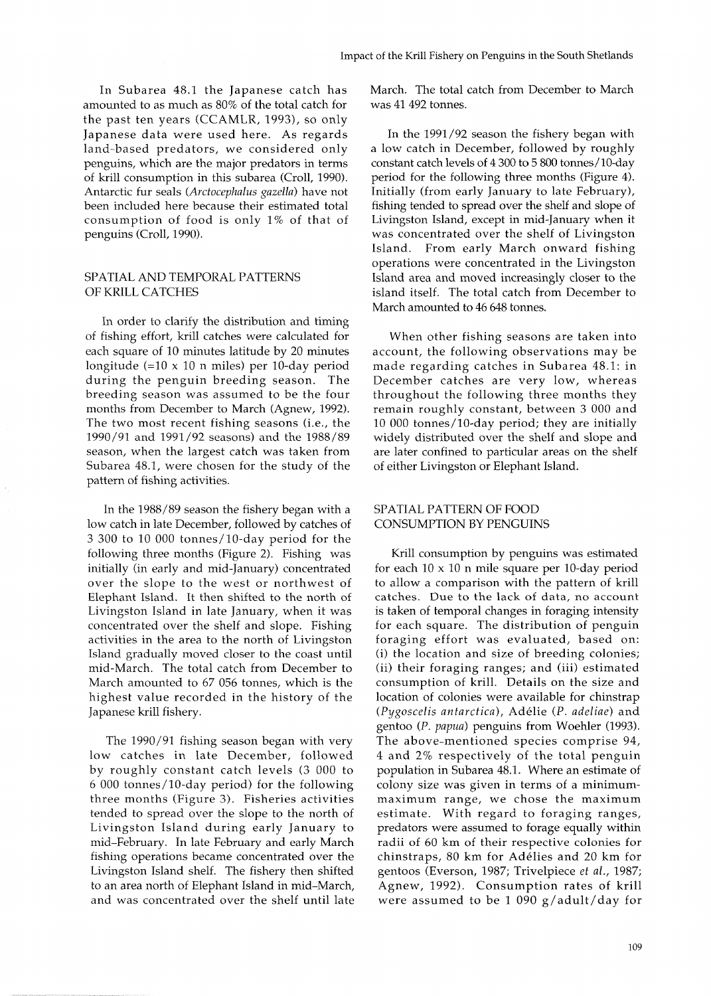In Subarea 48.1 the Japanese catch has amounted to as much as 80% of the total catch for the past ten years (CCAMLR, 1993), so only Japanese data were used here. As regards land-based predators, we considered only penguins, which are the major predators in terms of krill consumption in this subarea (Croll, 1990). Antarctic fur seals (Arctocephalus gazella) have not been included here because their estimated total consumption of food is only 1% of that of penguins (Croll, 1990).

## SPATIAL AND TEMPORAL PATTERNS OF KRILL CATCHES

In order to clarify the distribution and timing of fishing effort, krill catches were calculated for each square of 10 minutes latitude by 20 minutes longitude  $(=10 \times 10 \text{ n miles})$  per 10-day period during the penguin breeding season. The breeding season was assumed to be the four months from December to March (Agnew, 1992). The two most recent fishing seasons (i.e., the 1990/91 and 1991 /92 seasons) and the 1988/89 season, when the largest catch was taken from Subarea 48.1, were chosen for the study of the pattern of fishing activities.

In the 1988/89 season the fishery began with a low catch in late December, followed by catches of 3 300 to 10 000 tonnes/lO-day period for the following three months (Figure 2). Fishing was initially (in early and mid-January) concentrated over the slope to the west or northwest of Elephant Island. It then shifted to the north of Livingston Island in late January, when it was concentrated over the shelf and slope. Fishing activities in the area to the north of Livingston Island gradually moved closer to the coast until mid-March. The total catch from December to March amounted to 67 056 tonnes, which is the highest value recorded in the history of the Japanese krill fishery.

The 1990/91 fishing season began with very low catches in late December, followed by roughly constant catch levels (3 000 to 6 000 tonnes/lO-day period) for the following three months (Figure 3). Fisheries activities tended to spread over the slope to the north of Livingston Island during early January to mid-February. In late February and early March fishing operations became concentrated over the Livingston Island shelf. The fishery then shifted to an area north of Elephant Island in mid-March, and was concentrated over the shelf until late March. The total catch from December to March was 41 492 tonnes.

In the 1991/92 season the fishery began with a low catch in December, followed by roughly constant catch levels of 4 300 to 5 800 tonnes/lO-day period for the following three months (Figure 4). Initially (from early January to late February), fishing tended to spread over the shelf and slope of Livingston Island, except in mid-January when it was concentrated over the shelf of Livingston Island. From early March onward fishing operations were concentrated in the Livingston Island area and moved increasingly closer to the island itself. The total catch from December to March amounted to 46 648 tonnes.

When other fishing seasons are taken into account, the following observations may be made regarding catches in Subarea 48.1: in December catches are very low, whereas throughout the following three months they remain roughly constant, between 3 000 and 10 000 tonnes/lO-day period; they are initially widely distributed over the shelf and slope and are later confined to particular areas on the shelf of either Livingston or Elephant Island.

# SPATIAL PATTERN OF FOOD CONSUMPTION BY PENGUINS

Krill consumption by penguins was estimated for each  $10 \times 10$  n mile square per 10-day period to allow a comparison with the pattern of krill catches. Due to the lack of data, no account is taken of temporal changes in foraging intensity for each square. The distribution of penguin foraging effort was evaluated, based on: (i) the location and size of breeding colonies; (ii) their foraging ranges; and (iii) estimated consumption of krill. Details on the size and location of colonies were available for chinstrap (Pygoscelis antarctica), Adelie (P. adeliae) and gentoo (P. papua) penguins from Woehler (1993). The above-mentioned species comprise 94, 4 and 2% respectively of the total penguin population in Subarea 48.1. Where an estimate of colony size was given in terms of a minimummaximum range, we chose the maximum estimate. With regard to foraging ranges, predators were assumed to forage equally within radii of 60 km of their respective colonies for chinstraps, 80 km for Adélies and 20 km for gentoos (Everson, 1987; Trivelpiece et al., 1987; Agnew, 1992). Consumption rates of krill were assumed to be 1 090 g/adult/day for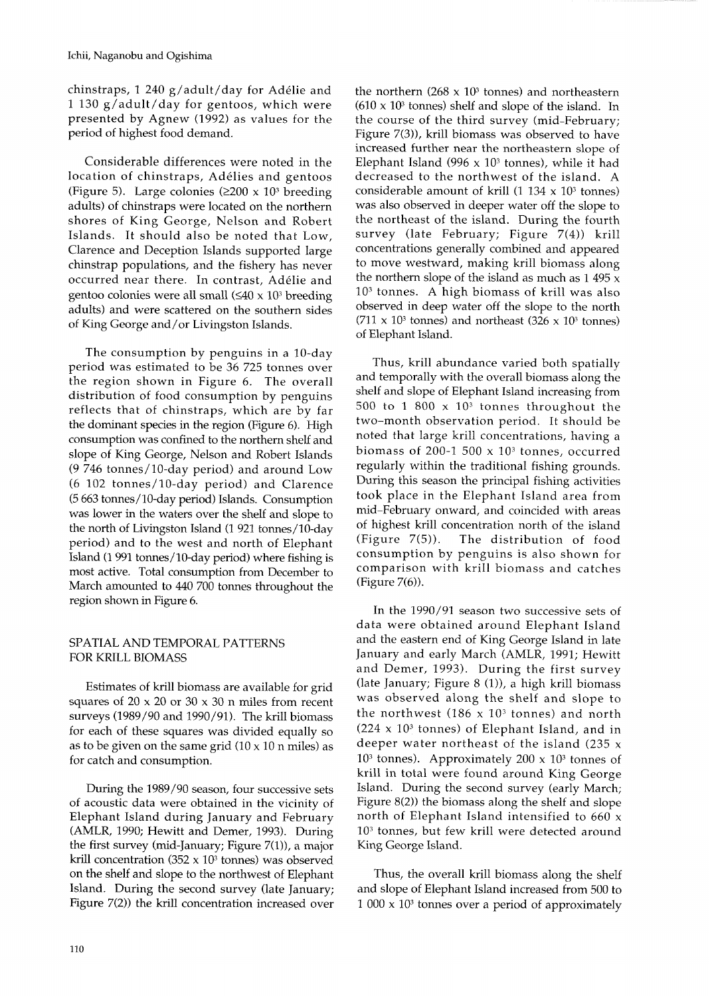chinstraps, 1 240 g/adult/day for Adelie and 1 130 g/adult/day for gentoos, which were presented by Agnew (1992) as values for the period of highest food demand.

Considerable differences were noted in the location of chinstraps, Adelies and gentoos (Figure 5). Large colonies ( $\geq 200 \times 10^3$  breeding adults) of chinstraps were located on the northern shores of King George, Nelson and Robert Islands. It should also be noted that Low, Clarence and Deception Islands supported large chinstrap populations, and the fishery has never occurred near there. In contrast, Adelie and gentoo colonies were all small  $(\leq 40 \times 10^3$  breeding adults) and were scattered on the southern sides of King George and/or Livingston Islands.

The consumption by penguins in a 10-day period was estimated to be 36 725 tonnes over the region shown in Figure 6. The overall distribution of food consumption by penguins reflects that of chinstraps, which are by far the dominant species in the region (Figure 6). High consumption was confined to the northern shelf and slope of King George, Nelson and Robert Islands (9 746 tonnes/lO-day period) and around Low (6 102 tonnes/lO-day period) and Clarence (5 663 tonnes/lO-day period) Islands. Consumption was lower in the waters over the shelf and slope to the north of Livingston Island (1 921 tonnes/lO-day period) and to the west and north of Elephant Island (1 991 tonnes/lO-day period) where fishing is most active. Total consumption from December to March amounted to 440 700 tonnes throughout the region shown in Figure 6.

# SPATIAL AND TEMPORAL PATTERNS FOR KRILL BIOMASS

Estimates of krill biomass are available for grid squares of  $20 \times 20$  or  $30 \times 30$  n miles from recent surveys (1989/90 and 1990/91). The krill biomass for each of these squares was divided equally so as to be given on the same grid  $(10 \times 10 \text{ n miles})$  as for catch and consumption.

During the 1989/90 season, four successive sets of acoustic data were obtained in the vicinity of Elephant Island during January and February (AMLR, 1990; Hewitt and Demer, 1993). During the first survey (mid-January; Figure 7(1)), a major krill concentration (352  $\times$  10<sup>3</sup> tonnes) was observed on the shelf and slope to the northwest of Elephant Island. During the second survey (late January; Figure 7(2)) the krill concentration increased over

the northern  $(268 \times 10^3 \text{ tonnes})$  and northeastern  $(610 \times 10^3$  tonnes) shelf and slope of the island. In the course of the third survey (mid-February; Figure 7(3)), krill biomass was observed to have increased further near the northeastern slope of Elephant Island (996  $\times$  10<sup>3</sup> tonnes), while it had decreased to the northwest of the island. A considerable amount of krill (1 134  $\times$  10<sup>3</sup> tonnes) was also observed in deeper water off the slope to the northeast of the island. During the fourth survey (late February; Figure 7(4)) krill concentrations generally combined and appeared to move westward, making krill biomass along the northern slope of the island as much as  $1\,495 \times$  $10<sup>3</sup>$  tonnes. A high biomass of krill was also observed in deep water off the slope to the north  $(711 \times 10^3 \text{ tonnes})$  and northeast  $(326 \times 10^3 \text{ tonnes})$ of Elephant Island.

Thus, krill abundance varied both spatially and temporally with the overall biomass along the shelf and slope of Elephant Island increasing from 500 to 1 800  $\times$  10<sup>3</sup> tonnes throughout the two-month observation period. It should be noted that large krill concentrations, having a biomass of 200-1 500  $\times$  10<sup>3</sup> tonnes, occurred regularly within the traditional fishing grounds. During this season the principal fishing activities took place in the Elephant Island area from mid-February onward, and coincided with areas of highest krill concentration north of the island (Figure 7(5)). The distribution of food consumption by penguins is also shown for comparison with krill biomass and catches (Figure 7(6)).

In the 1990/91 season two successive sets of data were obtained around Elephant Island and the eastern end of King George Island in late January and early March (AMLR, 1991; Hewitt and Demer, 1993). During the first survey (late January; Figure  $8$  (1)), a high krill biomass was observed along the shelf and slope to the northwest  $(186 \times 10^3 \text{ tonnes})$  and north  $(224 \times 10^3 \text{ tonnes})$  of Elephant Island, and in deeper water northeast of the island  $(235 x$ 10<sup>3</sup> tonnes). Approximately 200 x  $10<sup>3</sup>$  tonnes of krill in total were found around King George Island. During the second survey (early March; Figure 8(2)) the biomass along the shelf and slope north of Elephant Island intensified to 660 **<sup>X</sup>** 103 tonnes, but few krill were detected around King George Island.

Thus, the overall krill biomass along the shelf and slope of Elephant Island increased from 500 to  $1000 \times 10<sup>3</sup>$  tonnes over a period of approximately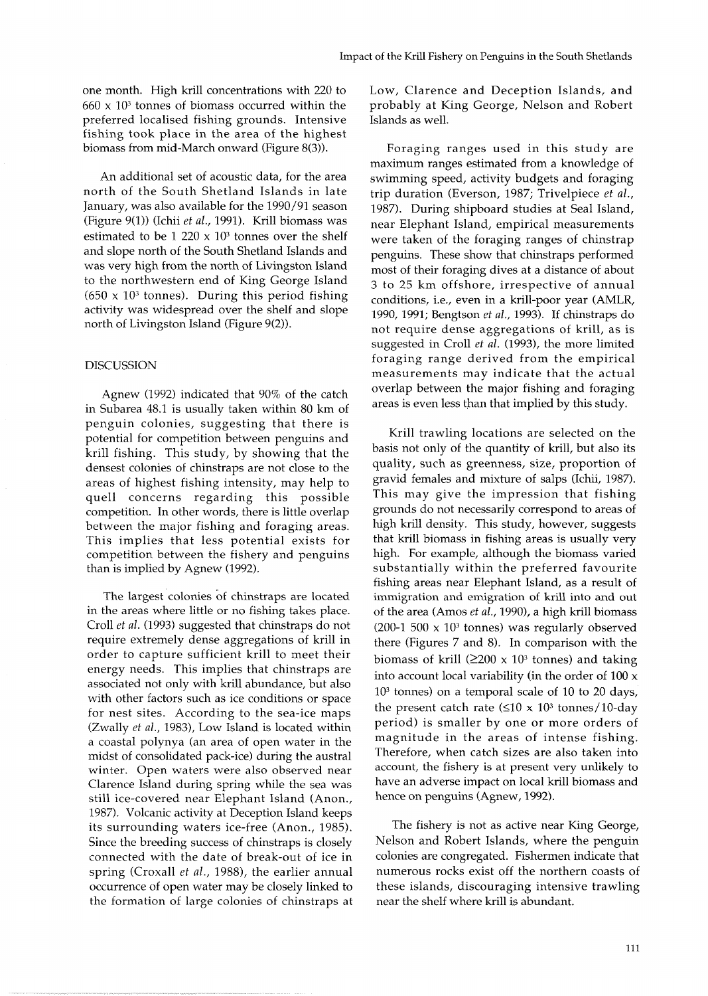one month. High krill concentrations with 220 to  $660 \times 10<sup>3</sup>$  tonnes of biomass occurred within the preferred localised fishing grounds. Intensive fishing took place in the area of the highest biomass from mid-March onward (Figure 8(3)).

An additional set of acoustic data, for the area north of the South Shetland Islands in late January, was also available for the 1990/91 season (Figure 9(1)) (Ichii *et al.,* 1991). Krill biomass was estimated to be 1 220  $\times$  10<sup>3</sup> tonnes over the shelf and slope north of the South Shetland Islands and was very high from the north of Livingston Island to the northwestern end of King George Island  $(650 \times 10^3 \text{ tonnes})$ . During this period fishing activity was widespread over the shelf and slope north of Livingston Island (Figure 9(2)).

### DISCUSSION

Agnew (1992) indicated that 90% of the catch in Subarea 48.1 is usually taken within 80 km of penguin colonies, suggesting that there is potential for competition between penguins and krill fishing. This study, by showing that the densest colonies of chinstraps are not close to the areas of highest fishing intensity, may help to quell concerns regarding this possible competition. In other words, there is little overlap between the major fishing and foraging areas. This implies that less potential exists for competition between the fishery and penguins than is implied by Agnew (1992).

The largest colonies of chinstraps are located in the areas where little or no fishing takes place. Croll *et al.* (1993) suggested that chinstraps do not require extremely dense aggregations of krill in order to capture sufficient krill to meet their energy needs. This implies that chinstraps are associated not only with krill abundance, but also with other factors such as ice conditions or space for nest sites. According to the sea-ice maps (Zwally et al., 1983), Low Island is located within a coastal polynya (an area of open water in the midst of consolidated pack-ice) during the austral winter. Open waters were also observed near Clarence Island during spring while the sea was still ice-covered near Elephant Island (Anon., 1987). Volcanic activity at Deception Island keeps its surrounding waters ice-free (Anon., 1985). Since the breeding success of chinstraps is closely connected with the date of break-out of ice in spring (Croxall *et al.,* 1988), the earlier annual occurrence of open water may be closely linked to the formation of large colonies of chinstraps at Low, Clarence and Deception Islands, and probably at King George, Nelson and Robert Islands as well.

Foraging ranges used in this study are maximum ranges estimated from a knowledge of swimming speed, activity budgets and foraging trip duration (Everson, 1987; Trivelpiece *et al.,*  1987). During shipboard studies at Seal Island, near Elephant Island, empirical measurements were taken of the foraging ranges of chinstrap penguins. These show that chinstraps performed most of their foraging dives at a distance of about 3 to 25 km offshore, irrespective of annual conditions, i.e., even in a krill-poor year (AMLR, 1990, 1991; Bengtson *et* al., 1993). If chinstraps do not require dense aggregations of krill, as is suggested in Croll *et al.* (1993), the more limited foraging range derived from the empirical measurements may indicate that the actual overlap between the major fishing and foraging areas is even less than that implied by this study.

Krill trawling locations are selected on the basis not only of the quantity of krill, but also its quality, such as greenness, size, proportion of gravid females and mixture of salps (Ichii, 1987). This may give the impression that fishing grounds do not necessarily correspond to areas of high krill density. This study, however, suggests that krill biomass in fishing areas is usually very high. For example, although the biomass varied substantially within the preferred favourite fishing areas near Elephant Island, as a result of immigration and emigration of krill into and out of the area (Amos et *al.,* 1990), a high krill biomass (200-1 500  $\times$  10<sup>3</sup> tonnes) was regularly observed there (Figures 7 and 8). In comparison with the biomass of krill  $(2200 \times 10^3 \text{ tonnes})$  and taking into account local variability (in the order of  $100 \times$  $10<sup>3</sup>$  tonnes) on a temporal scale of 10 to 20 days, the present catch rate ( $\leq 10 \times 10^3$  tonnes/10-day period) is smaller by one or more orders of magnitude in the areas of intense fishing. Therefore, when catch sizes are also taken into account, the fishery is at present very unlikely to have an adverse impact on local krill biomass and hence on penguins (Agnew, 1992).

The fishery is not as active near King George, Nelson and Robert Islands, where the penguin colonies are congregated. Fishermen indicate that numerous rocks exist off the northern coasts of these islands, discouraging intensive trawling near the shelf where krill is abundant.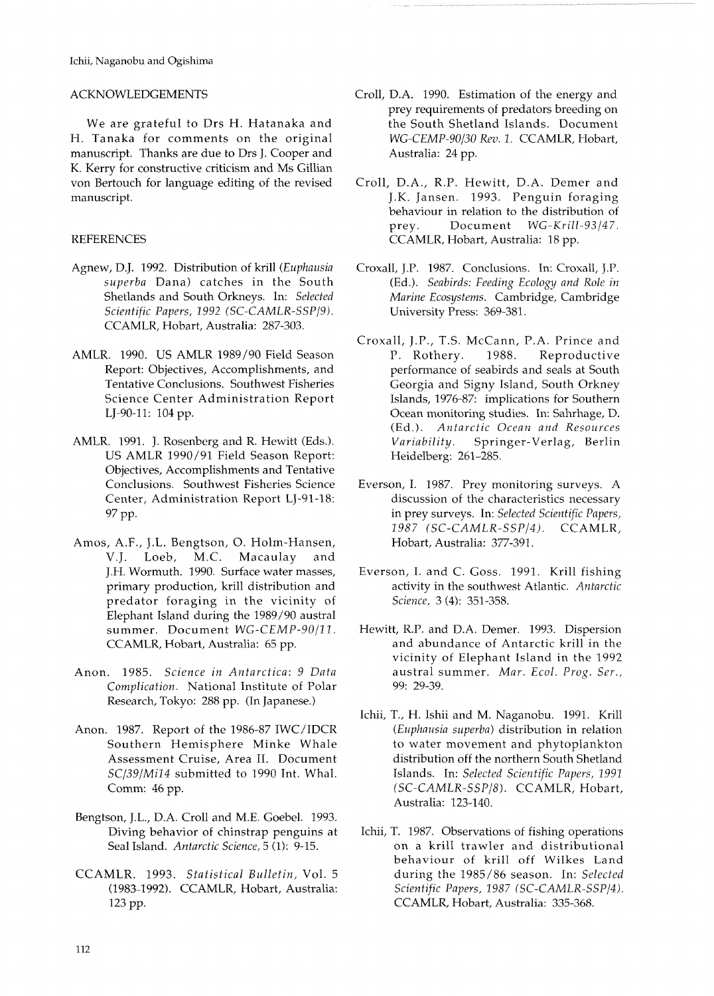# ACKNOWLEDGEMENTS

We are grateful to Drs H. Hatanaka and H. Tanaka for comments on the original manuscript. Thanks are due to Drs J. Cooper and K. Kerry for constructive criticism and Ms Gillian von Bertouch for language editing of the revised manuscript.

### REFERENCES

- Agnew, D.J. 1992. Distribution of krill *(Euphausia superba* Dana) catches in the South Shetlands and South Orkneys. In: *Selected Scientific Papers, 1992 (SC-CAMLR-SSPI9).*  CCAMLR, Hobart, Australia: 287-303.
- AMLR. 1990. US AMLR 1989/90 Field Season Report: Objectives, Accomplishments, and Tentative Conclusions. Southwest Fisheries Science Center Administration Report LJ-90-11: 104 pp.
- AMLR. 1991. J. Rosenberg and R. Hewitt (Eds.). US AMLR 1990/91 Field Season Report: Objectives, Accomplishments and Tentative Conclusions. Southwest Fisheries Science Center, Administration Report LJ-91-18: 97 PP.
- Amos, A.F., J.L. Bengtson, 0. Holm-Hansen, V.J. Loeb, M.C. Macaulay and J.H. Wormuth. 1990. Surface water masses, primary production, krill distribution and predator foraging in the vicinity of Elephant Island during the 1989/90 austral summer. Document *WG-CEMP-90/11*. CCAMLR, Hobart, Australia: 65 pp.
- Anon. 1985. *Science in Antarctica: 9 Data Complication.* National Institute of Polar Research, Tokyo: 288 pp. (In Japanese.)
- Anon. 1987. Report of the 1986-87 IWC/IDCR Southern Hemisphere Minke Whale Assessment Cruise, Area 11. Document *SC/39/Mi14* submitted to 1990 Int. Whal. Comm: 46 pp.
- Bengtson, J.L., D.A. Croll and M.E. Goebel. 1993. Diving behavior of chinstrap penguins at Seal Island. *Antarctic Science,* 5 (1): 9-15.
- CCAMLR. 1993. *Statistical Bulletin,* Vol. 5 (1983-1992). CCAMLR, Hobart, Australia: 123 pp.
- Croll, D.A. 1990. Estimation of the energy and prey requirements of predators breeding on the South Shetland Islands. Document *WG-CEMP-90130 Rev. 1.* CCAMLR, Hobart, Australia: 24 pp.
- Croll, D.A., R.P. Hewitt, D.A. Demer and J.K. Jansen. 1993. Penguin foraging behaviour in relation to the distribution of prey. Document *WG-Krill-93/47.*  CCAMLR, Hobart, Australia: 18 pp.
- Croxall, J.P. 1987. Conclusions. In: Croxall, J.P. (Ed.). *Seabirds: Feeding Ecology and Role in Marine Ecosystems.* Cambridge, Cambridge University Press: 369-381.
- Croxall, J.P., T.S. McCann, P.A. Prince and P. Rothery. 1988. Reproductive performance of seabirds and seals at South Georgia and Signy Island, South Orkney Islands, 1976-87: implications for Southern Ocean monitoring studies. In: Sahrhage, D. (Ed.). *Antarctic Ocean and Resources Variability.* Springer-Verlag, Berlin Heidelberg: 261-285.
- Everson, I. 1987. Prey monitoring surveys. A discussion of the characteristics necessary in prey surveys. In: *Selected Scientific Papers, 1987 (SC-CAMLR-SSPI4).* CCAMLR, Hobart, Australia: 377-391.
- Everson, I. and C. Goss. 1991. Krill fishing activity in the southwest Atlantic. *Antarctic Science,* **3** *(4):* 351-358.
- Hewitt, R.P. and D.A. Demer. 1993. Dispersion and abundance of Antarctic krill in the vicinity of Elephant Island in the 1992 austral summer. *Mar. Ecol. Prog. Ser.,*  99: 29-39.
- Ichii, T., H. Ishii and M. Naganobu. 1991. Krill *(Eupkausia superba)* distribution in relation to water movement and phytoplankton distribution off the northern South Shetland Islands. In: *Selected Scientific Papers, 1991 (SC-CAMLR-SSPI8).* CCAMLR, Hobart, Australia: 123-140.
- Ichii, T. 1987. Observations of fishing operations on a krill trawler and distributional behaviour of krill off Wilkes Land during the 1985/86 season. In: *Selected Scientific Papers, 1987 (SC-CAMLR-SSPl4).*  CCAMLR, Hobart, Australia: 335-368.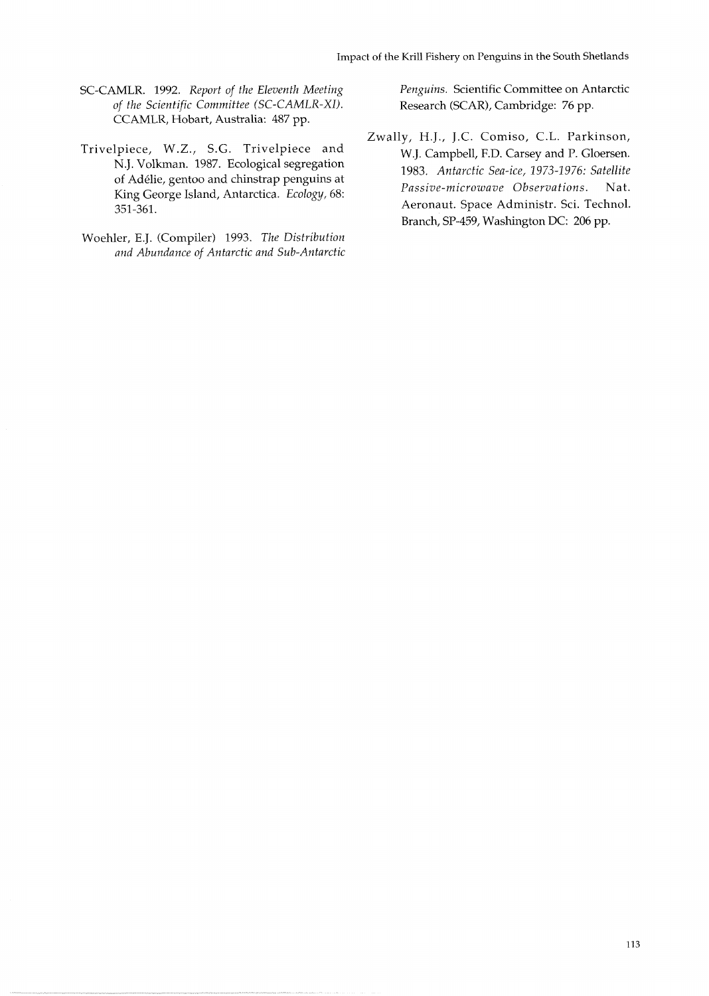- SC-CAMLR. 1992. *Report of the Eleventh Meeting of the Scientific Committee (SC-CAMLR-XI).*  CCAMLR, Hobart, Australia: 487 pp.
- Trivelpiece, W.Z., S.G. Trivelpiece and N.J. Volkman. 1987. Ecological segregation of Adélie, gentoo and chinstrap penguins at King George Island, Antarctica. *Ecology,* 68: 351-361.
- Woehler, E.J. (Compiler) 1993. *The Distribution and Abundance of Antarctic and Sub-Antarctic*

*Penguins.* Scientific Committee on Antarctic Research (SCAR), Cambridge: 76 pp.

Zwally, H.J., J.C. Comiso, C.L. Parkinson, W.J. Campbell, F.D. Carsey and P. Gloersen. 1983. *Antarctic Sea-ice,* 1973-1976: *Satellite Passive-microwave Observations.* Nat. Aeronaut. Space Administr. Sci. Technol. Branch, SP-459, Washington DC: 206 pp.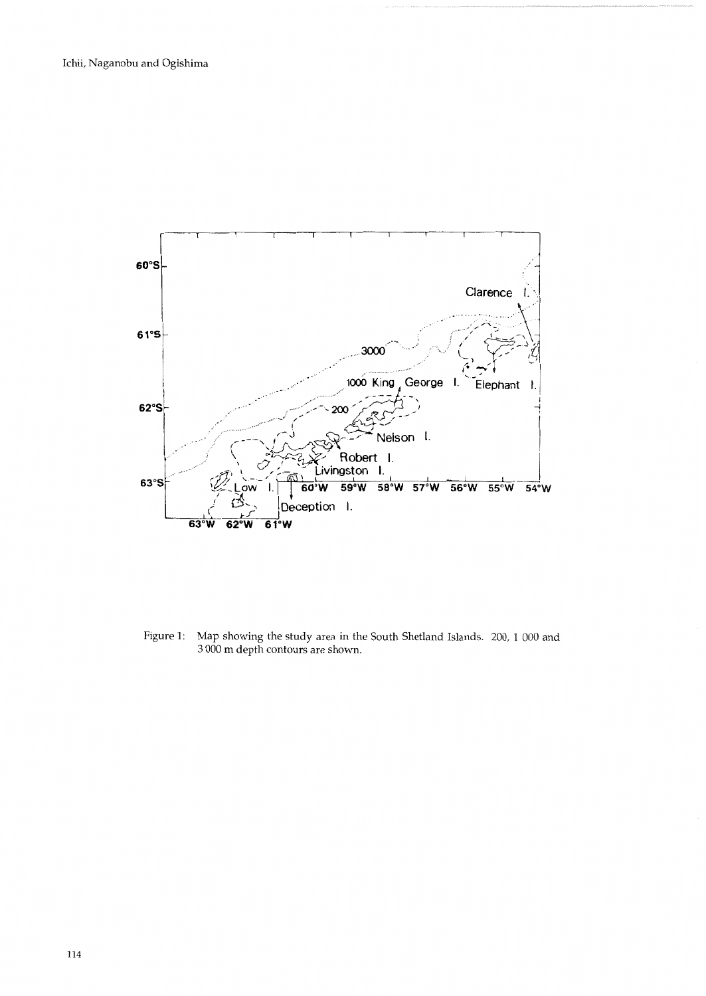

Figure 1: Map showing the study area in the South Shetland Islands. 200, 1 000 and 3 000 m depth contours are shown.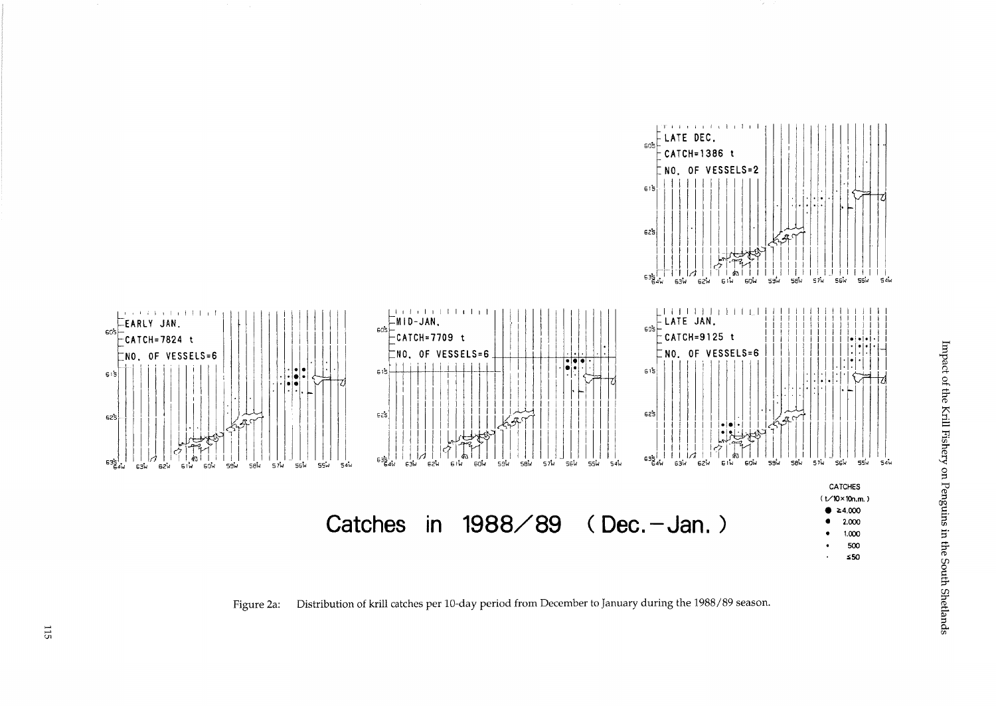

Figure 2a: Distribution of krill catches per 10-day period from December to January during the 1988/89 season.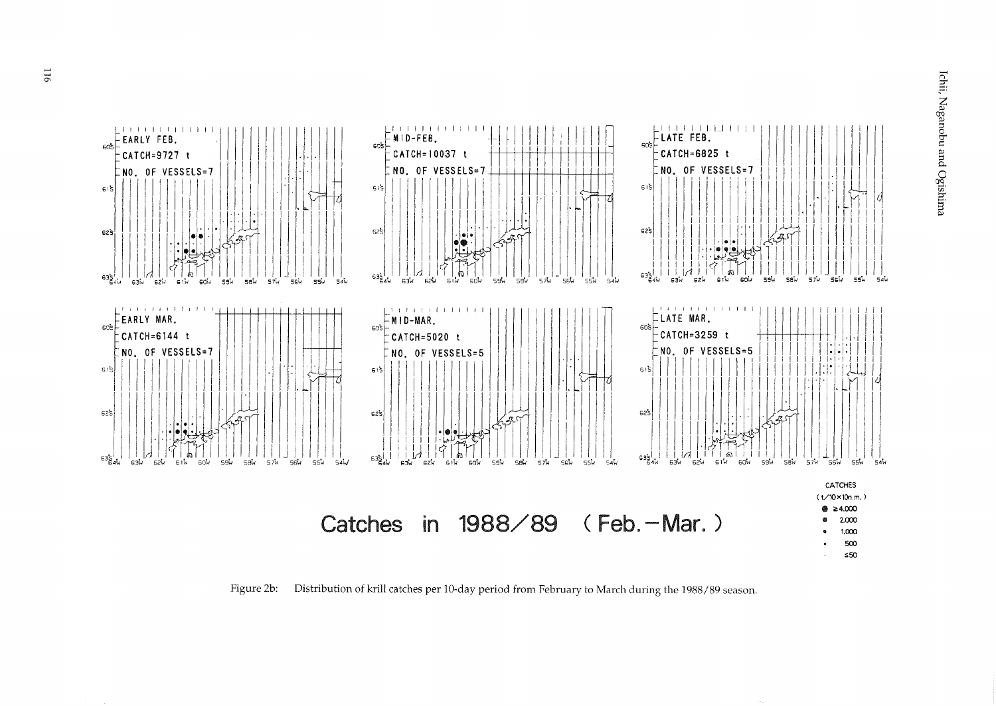

Distribution of krill catches per 10-day period from February to March during the 1988/89 season. Figure 2b: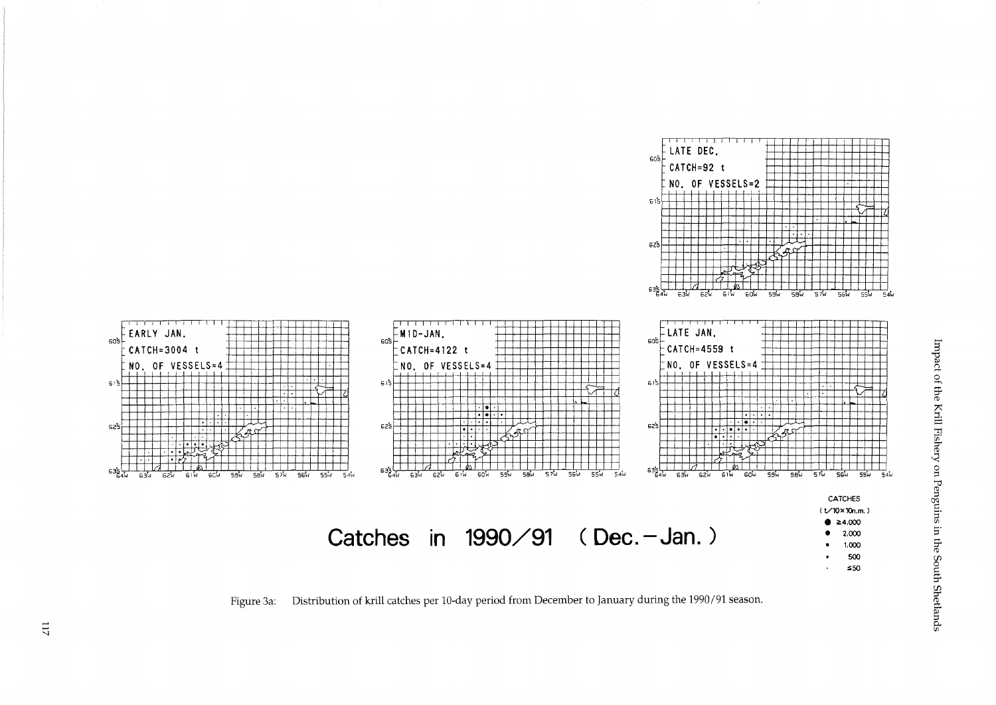

Distribution of krill catches per 10-day period from December to January during the 1990/91 season. Figure 3a: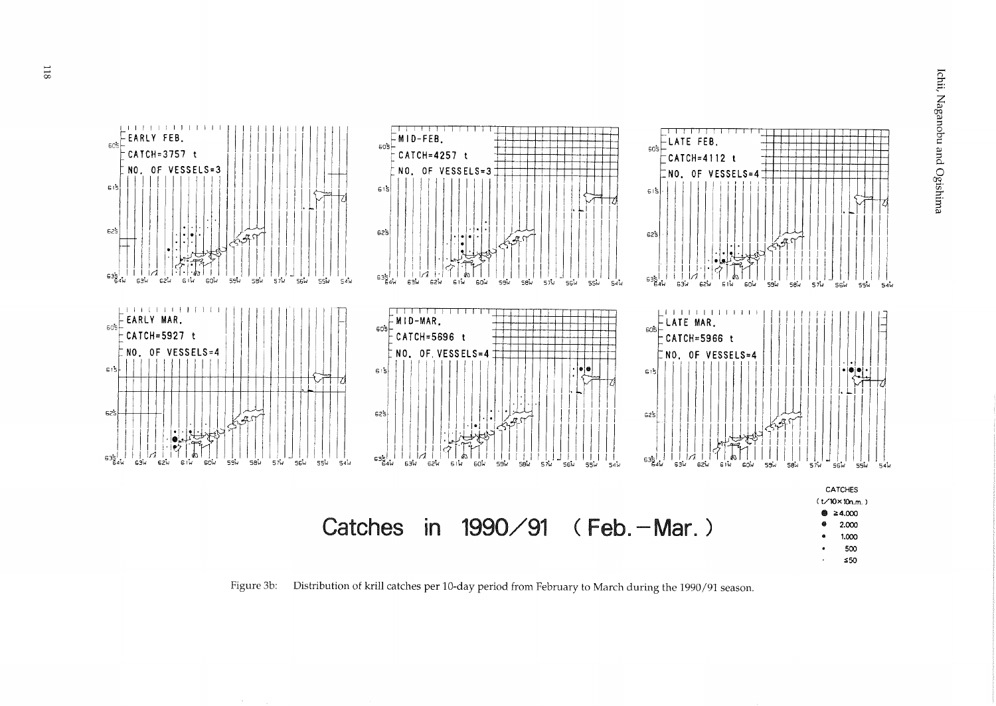

Figure 3b: Distribution of krill catches per 10-day period from February to March during the 1990/91 season.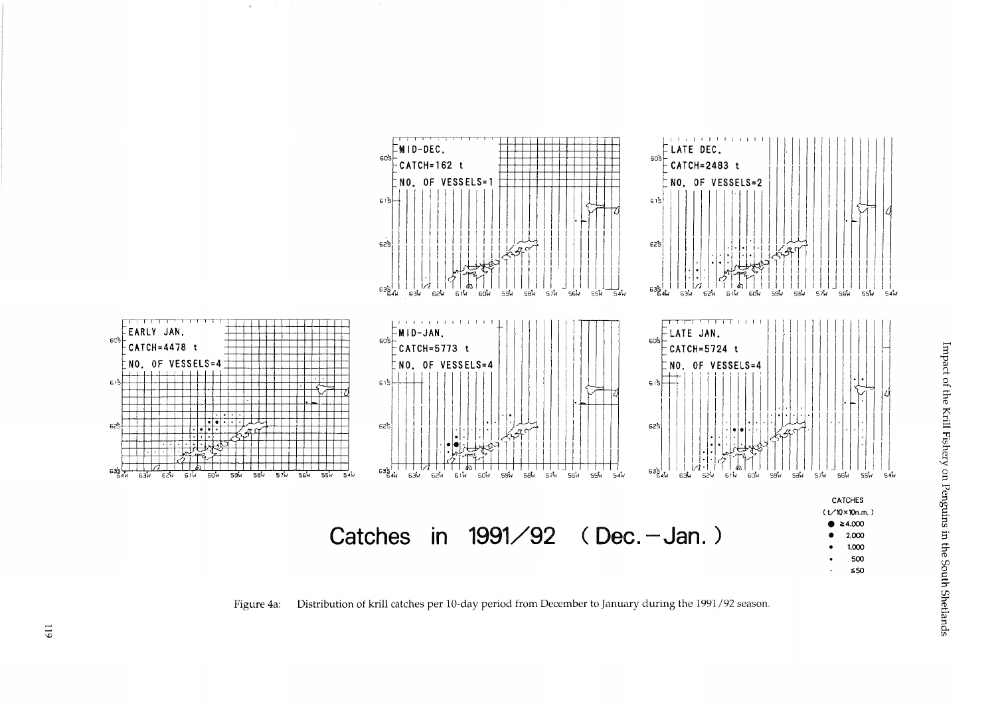

 $\mathcal{L}$ 

Figure 4a: Distribution of krill catches per 10-day period from December to January during the 1991/92 season.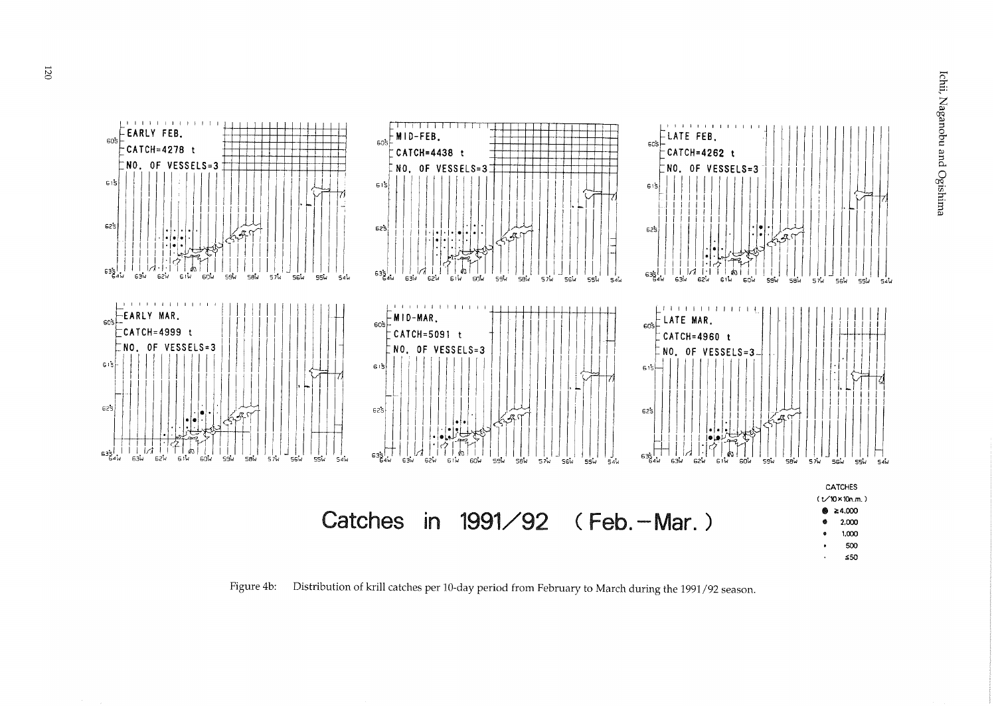

Figure 4b: Distribution of krill catches per 10-day period from February to March during the 1991/92 season.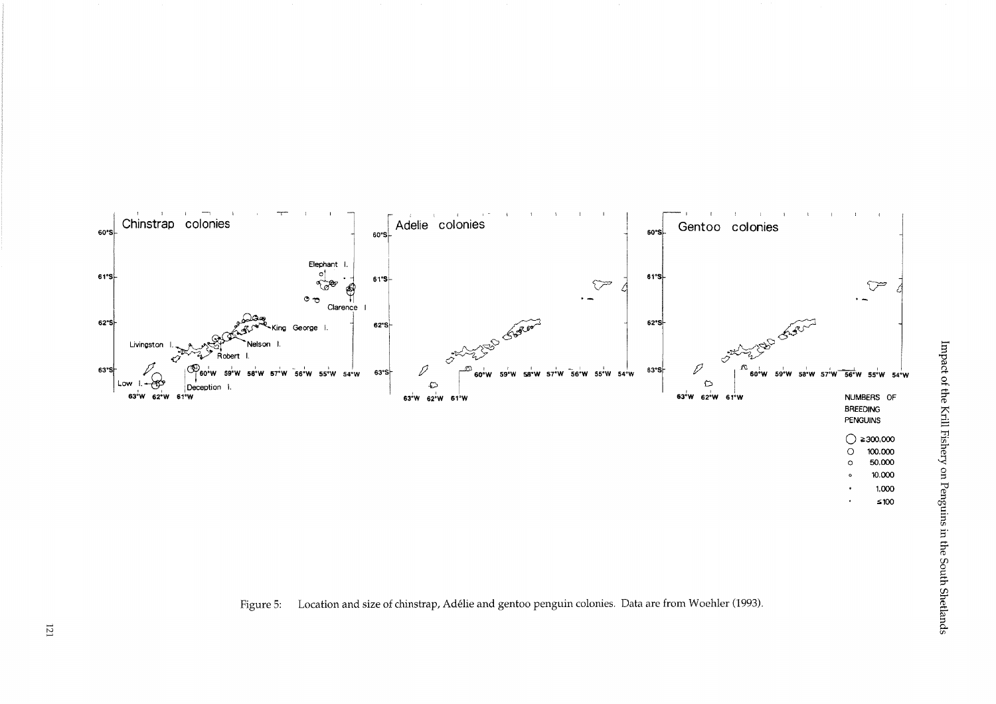

Figure 5: Location and size of chinstrap, Adélie and gentoo penguin colonies. Data are from Woehler (1993).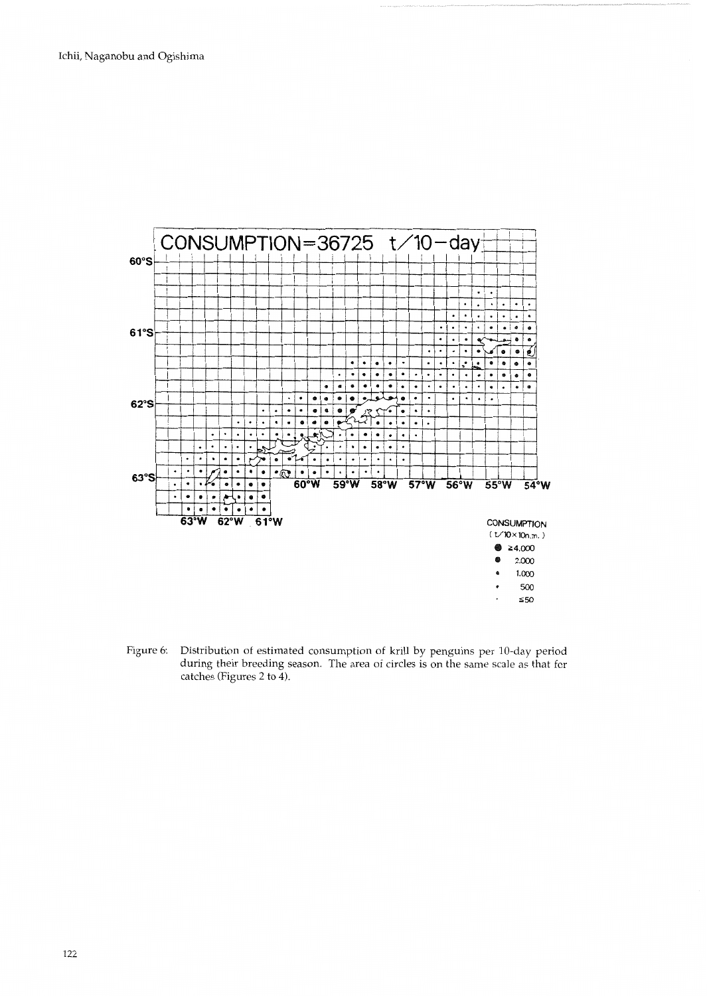

Figure 6: Distribution of estimated consumption of krill by penguins per 10-day period during their breeding season. The area of circles is on the same scale as that for catches (Figures 2 to 4).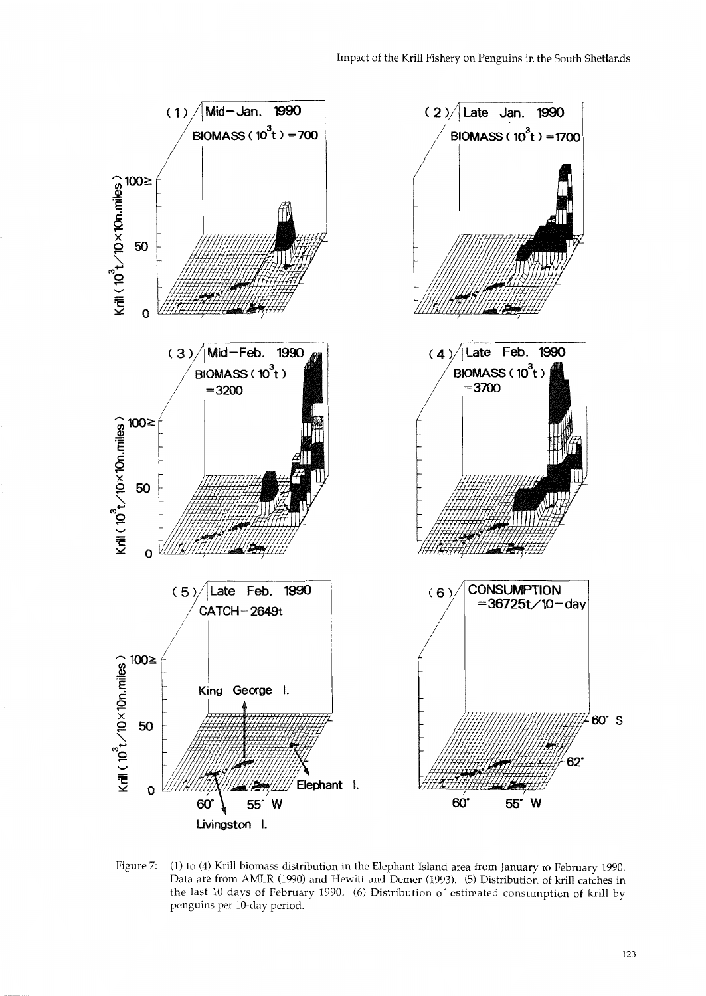

Figure 7: (1) to (4) Krill biomass distribution in the Elephant Island area from January to February 1990. Data are from AMLR (1990) and Hewitt and Demer (1993). (5) Distribution of krill catches in the last 10 days of February 1990. (6) Distribution of estimated consumption of krill by penguins per 10-day period.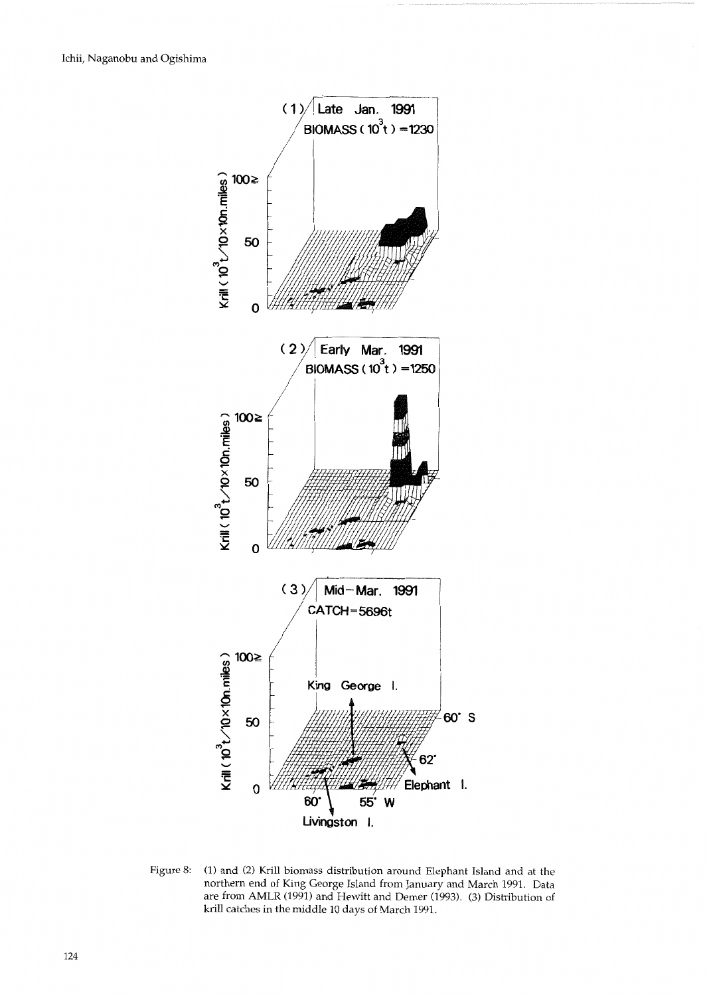

Figure 8: (1) and (2) Krill biomass distribution around Elephant Island and at the northern end of King George Island from January and March 1991. Data are from AMLR (1991) and Hewitt and Demer (1993). (3) Distribution of krill catches in the middle 10 days of March 1991.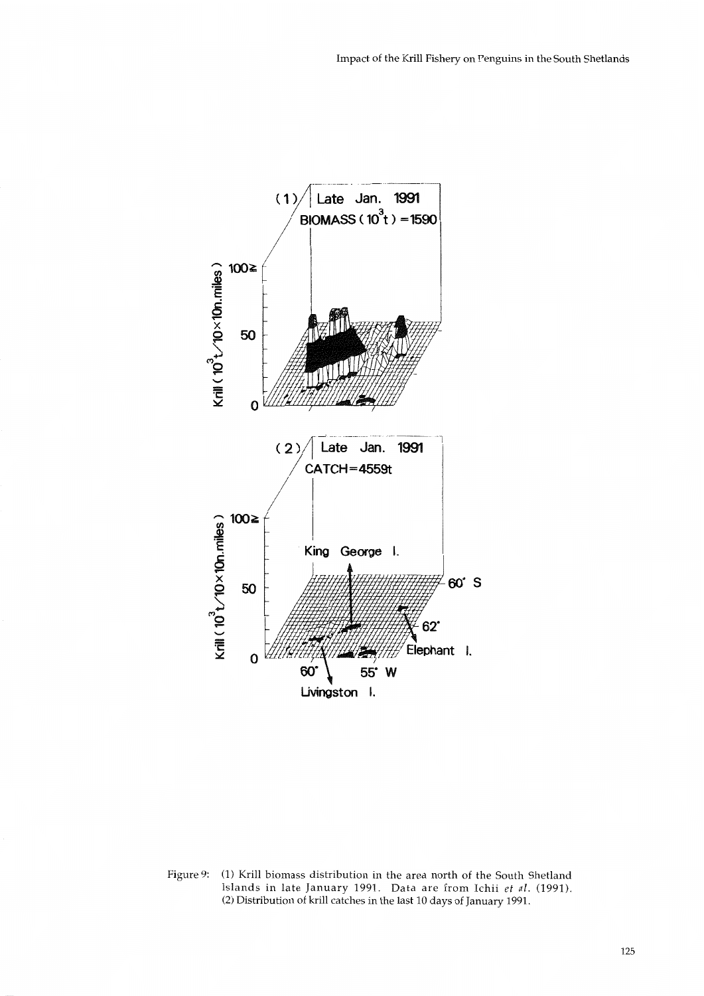

Figure 9: (1) Krill biomass distribution in the area north of the South Shetland Islands in late January 1991. Data are from Ichii *et* al. (1991). (2) Distribution of krill catches in the last 10 days of January 1991.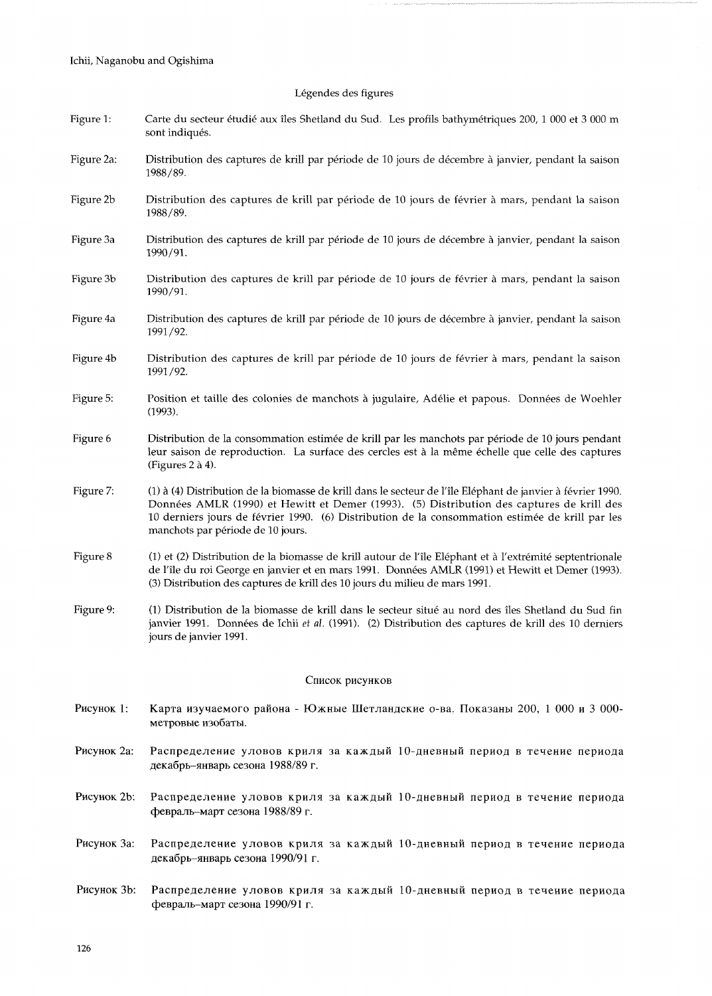# Legendes des figures

| Figure 1:       | Carte du secteur étudié aux îles Shetland du Sud. Les profils bathymétriques 200, 1 000 et 3 000 m<br>sont indiqués.                                                                                                                                                                                                                             |
|-----------------|--------------------------------------------------------------------------------------------------------------------------------------------------------------------------------------------------------------------------------------------------------------------------------------------------------------------------------------------------|
| Figure 2a:      | Distribution des captures de krill par période de 10 jours de décembre à janvier, pendant la saison<br>1988/89.                                                                                                                                                                                                                                  |
| Figure 2b       | Distribution des captures de krill par période de 10 jours de février à mars, pendant la saison<br>1988/89.                                                                                                                                                                                                                                      |
| Figure 3a       | Distribution des captures de krill par période de 10 jours de décembre à janvier, pendant la saison<br>1990/91.                                                                                                                                                                                                                                  |
| Figure 3b       | Distribution des captures de krill par période de 10 jours de février à mars, pendant la saison<br>1990/91.                                                                                                                                                                                                                                      |
| Figure 4a       | Distribution des captures de krill par période de 10 jours de décembre à janvier, pendant la saison<br>1991/92.                                                                                                                                                                                                                                  |
| Figure 4b       | Distribution des captures de krill par période de 10 jours de février à mars, pendant la saison<br>1991/92.                                                                                                                                                                                                                                      |
| Figure 5:       | Position et taille des colonies de manchots à jugulaire, Adélie et papous. Données de Woehler<br>(1993).                                                                                                                                                                                                                                         |
| Figure 6        | Distribution de la consommation estimée de krill par les manchots par période de 10 jours pendant<br>leur saison de reproduction. La surface des cercles est à la même échelle que celle des captures<br>(Figures 2 à 4).                                                                                                                        |
| Figure 7:       | (1) à (4) Distribution de la biomasse de krill dans le secteur de l'île Eléphant de janvier à février 1990.<br>Données AMLR (1990) et Hewitt et Demer (1993). (5) Distribution des captures de krill des<br>10 derniers jours de février 1990. (6) Distribution de la consommation estimée de krill par les<br>manchots par période de 10 jours. |
| Figure 8        | (1) et (2) Distribution de la biomasse de krill autour de l'île Eléphant et à l'extrémité septentrionale<br>de l'île du roi George en janvier et en mars 1991. Données AMLR (1991) et Hewitt et Demer (1993).<br>(3) Distribution des captures de krill des 10 jours du milieu de mars 1991.                                                     |
| Figure 9:       | (1) Distribution de la biomasse de krill dans le secteur situé au nord des îles Shetland du Sud fin<br>janvier 1991. Données de Ichii et al. (1991). (2) Distribution des captures de krill des 10 derniers<br>jours de janvier 1991.                                                                                                            |
| Список рисунков |                                                                                                                                                                                                                                                                                                                                                  |
| Рисунок 1:      | Карта изучаемого района - Южные Шетландские о-ва. Показаны 200, 1 000 и 3 000-<br>метровые изобаты.                                                                                                                                                                                                                                              |
| Рисунок 2а:     | Распределение уловов криля за каждый 10-дневный период в течение периода<br>декабрь-январь сезона 1988/89 г.                                                                                                                                                                                                                                     |
| Рисунок 2b:     | Распределение уловов криля за каждый 10-дневный период в течение периода<br>февраль-март сезона 1988/89 г.                                                                                                                                                                                                                                       |
| Рисунок За:     | Распределение уловов криля за каждый 10-дневный период в течение периода<br>декабрь-январь сезона 1990/91 г.                                                                                                                                                                                                                                     |
| Рисунок 3b:     | Распределение уловов криля за каждый 10-дневный период в течение периода<br>февраль-март сезона 1990/91 г.                                                                                                                                                                                                                                       |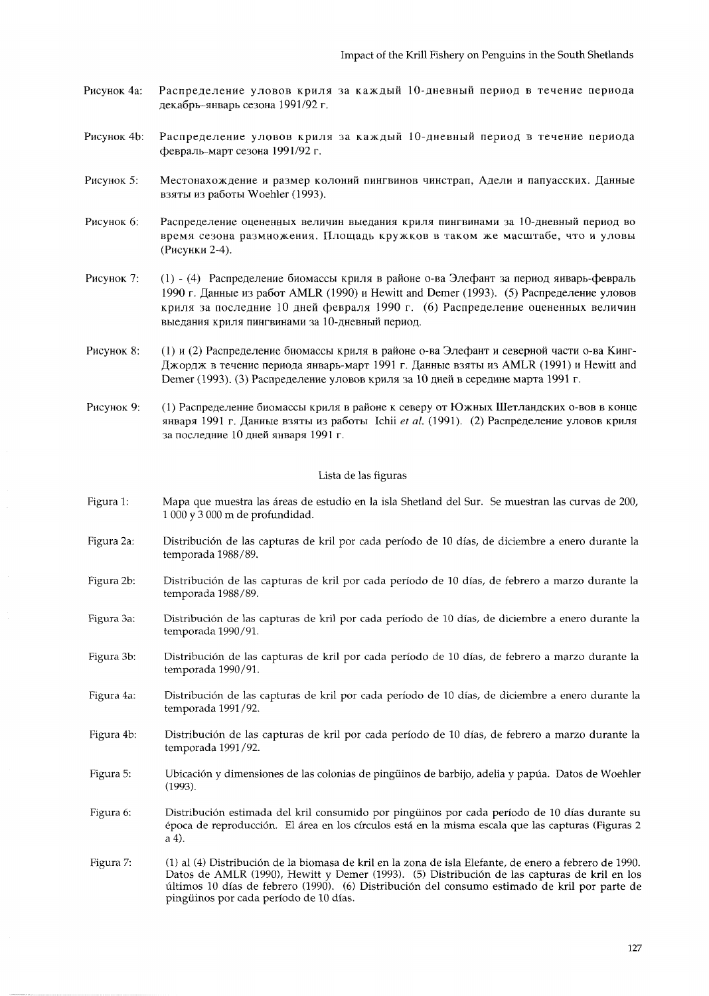- Рисунок 4а: Распределение уловов криля за каждый 10-дневный период в течение периода декабрь-январь сезона 1991/92 г.
- Рисунок 4b: Распределение уловов криля за каждый 10-дневный период в течение периода февраль-март сезона 1991/92 г.
- Рисунок 5: Местонахождение и размер колоний пингвинов чинстрап, Адели и папуасских. Данные взяты из работы Woehler (1993).
- Рисунок 6: Распределение оцененных величин выедания криля пингвинами за 10-дневный период во время сезона размножения. Площадь кружков в таком же масштабе, что и уловы (Рисунки 2-4).
- Рисунок 7: (1) - (4) Распределение биомассы криля в районе о-ва Элефант за период январь-февраль 1990 г. Данные из работ AMLR (1990) и Hewitt and Demer (1993). (5) Распределение уловов криля за последние 10 дней февраля 1990 г. (6) Распределение оцененных величин выедания криля пингвинами за 10-дневный период.
- Рисунок 8: (1) и (2) Распределение биомассы криля в районе о-ва Элефант и северной части о-ва Кинг-Джордж в течение периода январь-март 1991 г. Данные взяты из AMLR (1991) и Hewitt and Demer (1993). (3) Распределение уловов криля за 10 дней в середине марта 1991 г.
- Рисунок 9: (1) Распределение биомассы криля в районе к северу от Южных Шетландских о-вов в конце января 1991 г. Данные взяты из работы Ichii et al. (1991). (2) Распределение уловов криля за последние 10 дней января 1991 г.

#### Lista de las figuras

- Figura 1: Mapa que muestra las áreas de estudio en la isla Shetland del Sur. Se muestran las curvas de 200, 1 000 y 3 000 m de profundidad.
- Figura 2a: Distribución de las capturas de kril por cada período de 10 días, de diciembre a enero durante la temporada 1988/89.
- Figura 2b: Distribución de las capturas de kril por cada período de 10 días, de febrero a marzo durante la temporada 1988/89.
- Figura 3a: Distribución de las capturas de kril por cada período de 10 días, de diciembre a enero durante la temporada 1990/91.
- Figura 3b: Distribución de las capturas de kril por cada período de 10 días, de febrero a marzo durante la temporada 1990/91.
- Figura 4a: Distribución de las capturas de kril por cada período de 10 días, de diciembre a enero durante la temporada 1991/92.
- Figura 4b: Distribución de las capturas de kril por cada período de 10 días, de febrero a marzo durante la temporada 1991/92.
- Figura 5: Ubicación y dimensiones de las colonias de pingüinos de barbijo, adelia y papúa. Datos de Woehler  $(1993).$
- Distribución estimada del kril consumido por pingüinos por cada período de 10 días durante su Figura 6: época de reproducción. El área en los círculos está en la misma escala que las capturas (Figuras 2  $a(4)$ .
- Figura 7: (1) al (4) Distribución de la biomasa de kril en la zona de isla Elefante, de enero a febrero de 1990. Datos de AMLR (1990), Hewitt y Demer (1993). (5) Distribución de las capturas de kril en los últimos 10 días de febrero (1990). (6) Distribución del consumo estimado de kril por parte de pingüinos por cada período de 10 días.